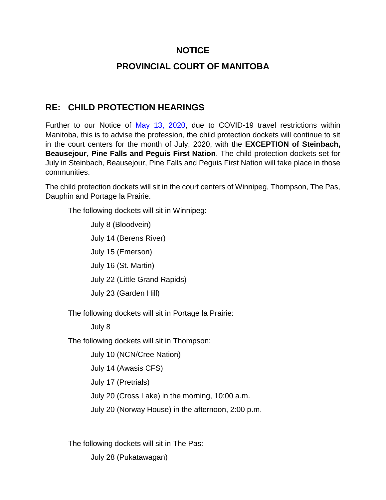## **NOTICE**

## **PROVINCIAL COURT OF MANITOBA**

## **RE: CHILD PROTECTION HEARINGS**

Further to our Notice of [May 13, 2020,](http://www.manitobacourts.mb.ca/site/assets/files/1966/notice_-_provincial_court_-_covid-19_-_child_protection_hearings_may_13_2020.pdf) due to COVID-19 travel restrictions within Manitoba, this is to advise the profession, the child protection dockets will continue to sit in the court centers for the month of July, 2020, with the **EXCEPTION of Steinbach, Beausejour, Pine Falls and Peguis First Nation**. The child protection dockets set for July in Steinbach, Beausejour, Pine Falls and Peguis First Nation will take place in those communities.

The child protection dockets will sit in the court centers of Winnipeg, Thompson, The Pas, Dauphin and Portage la Prairie.

The following dockets will sit in Winnipeg:

July 8 (Bloodvein) July 14 (Berens River) July 15 (Emerson) July 16 (St. Martin) July 22 (Little Grand Rapids) July 23 (Garden Hill)

The following dockets will sit in Portage la Prairie:

July 8

The following dockets will sit in Thompson:

July 10 (NCN/Cree Nation)

July 14 (Awasis CFS)

July 17 (Pretrials)

July 20 (Cross Lake) in the morning, 10:00 a.m.

July 20 (Norway House) in the afternoon, 2:00 p.m.

The following dockets will sit in The Pas:

July 28 (Pukatawagan)